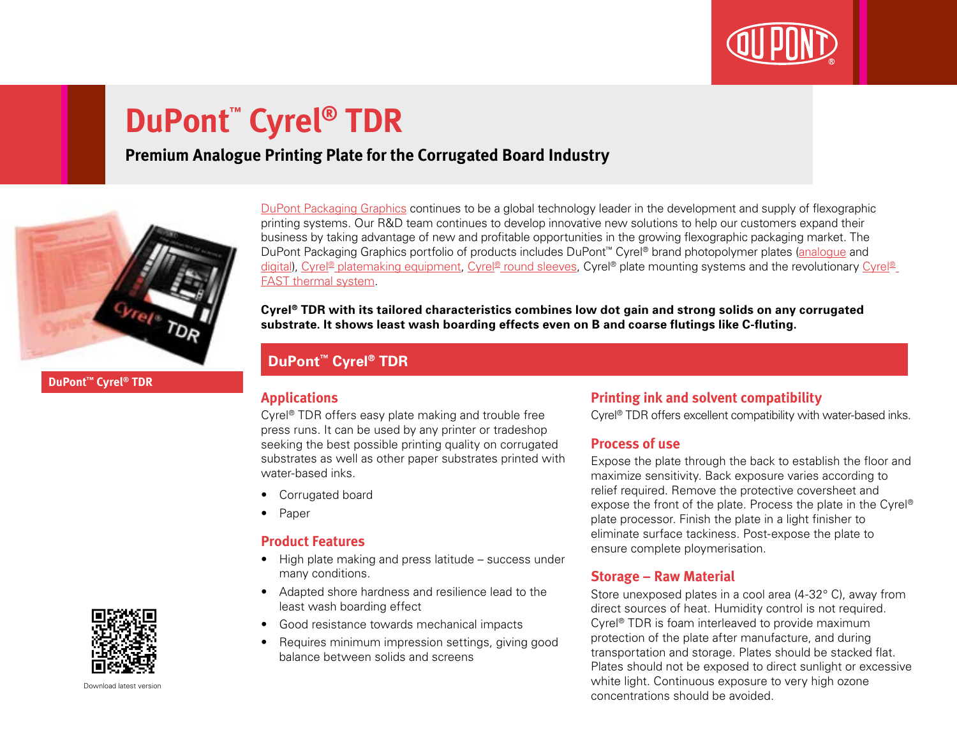

# **DuPont™ Cyrel® TDR**

### **Premium Analogue Printing Plate for the Corrugated Board Industry**



[DuPont Packaging Graphics](http://www2.dupont.com/Packaging_Graphics/en_GB/index.html) continues to be a global technology leader in the development and supply of flexographic printing systems. Our R&D team continues to develop innovative new solutions to help our customers expand their business by taking advantage of new and profitable opportunities in the growing flexographic packaging market. The DuPont Packaging Graphics portfolio of products includes DuPont™ Cyrel® brand photopolymer plates [\(analogue](http://www2.dupont.com/Packaging_Graphics/en_GB/products/solvent_platemaking/index.html) and [digital\)](http://www2.dupont.com/Packaging_Graphics/en_GB/products/digital_wkflow/digital_workflow.html), [Cyrel® platemaking equipment,](http://www2.dupont.com/Packaging_Graphics/en_GB/products/mounting_systems/index.html) [Cyrel® round sleeves](http://www2.dupont.com/Packaging_Graphics/en_GB/products/cyrel_round/index_cyrelround2.html), [Cyrel®](http://www2.dupont.com/Packaging_Graphics/en_GB/products/cyrel_fast/cyrelfast_index.html) plate mounting systems and the revolutionary Cyrel® [FAST thermal system](http://www2.dupont.com/Packaging_Graphics/en_GB/products/cyrel_fast/cyrelfast_index.html).

**Cyrel® TDR with its tailored characteristics combines low dot gain and strong solids on any corrugated substrate. It shows least wash boarding effects even on B and coarse flutings like C-fluting.**

#### **DuPont™ Cyrel® TDR**

#### **Applications**

Cyrel® TDR offers easy plate making and trouble free press runs. It can be used by any printer or tradeshop seeking the best possible printing quality on corrugated substrates as well as other paper substrates printed with water-based inks.

- Corrugated board
- Paper

#### **Product Features**

- High plate making and press latitude success under many conditions.
- Adapted shore hardness and resilience lead to the least wash boarding effect
- Good resistance towards mechanical impacts
- Requires minimum impression settings, giving good balance between solids and screens

#### **Printing ink and solvent compatibility**

Cyrel® TDR offers excellent compatibility with water-based inks.

#### **Process of use**

Expose the plate through the back to establish the floor and maximize sensitivity. Back exposure varies according to relief required. Remove the protective coversheet and expose the front of the plate. Process the plate in the Cyrel® plate processor. Finish the plate in a light finisher to eliminate surface tackiness. Post-expose the plate to ensure complete ploymerisation.

#### **Storage – Raw Material**

Store unexposed plates in a cool area (4-32° C), away from direct sources of heat. Humidity control is not required. Cyrel® TDR is foam interleaved to provide maximum protection of the plate after manufacture, and during transportation and storage. Plates should be stacked flat. Plates should not be exposed to direct sunlight or excessive white light. Continuous exposure to very high ozone concentrations should be avoided.